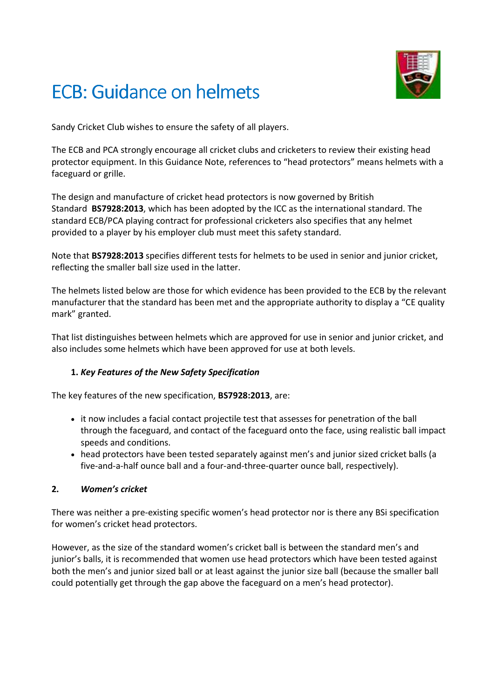# ECB: Guidance on helmets



Sandy Cricket Club wishes to ensure the safety of all players.

The ECB and PCA strongly encourage all cricket clubs and cricketers to review their existing head protector equipment. In this Guidance Note, references to "head protectors" means helmets with a faceguard or grille.

The design and manufacture of cricket head protectors is now governed by British Standard **BS7928:2013**, which has been adopted by the ICC as the international standard. The standard ECB/PCA playing contract for professional cricketers also specifies that any helmet provided to a player by his employer club must meet this safety standard.

Note that **BS7928:2013** specifies different tests for helmets to be used in senior and junior cricket, reflecting the smaller ball size used in the latter.

The helmets listed below are those for which evidence has been provided to the ECB by the relevant manufacturer that the standard has been met and the appropriate authority to display a "CE quality mark" granted.

That list distinguishes between helmets which are approved for use in senior and junior cricket, and also includes some helmets which have been approved for use at both levels.

## **1.** *Key Features of the New Safety Specification*

The key features of the new specification, **BS7928:2013**, are:

- it now includes a facial contact projectile test that assesses for penetration of the ball through the faceguard, and contact of the faceguard onto the face, using realistic ball impact speeds and conditions.
- head protectors have been tested separately against men's and junior sized cricket balls (a five-and-a-half ounce ball and a four-and-three-quarter ounce ball, respectively).

#### **2.** *Women's cricket*

There was neither a pre-existing specific women's head protector nor is there any BSi specification for women's cricket head protectors.

However, as the size of the standard women's cricket ball is between the standard men's and junior's balls, it is recommended that women use head protectors which have been tested against both the men's and junior sized ball or at least against the junior size ball (because the smaller ball could potentially get through the gap above the faceguard on a men's head protector).